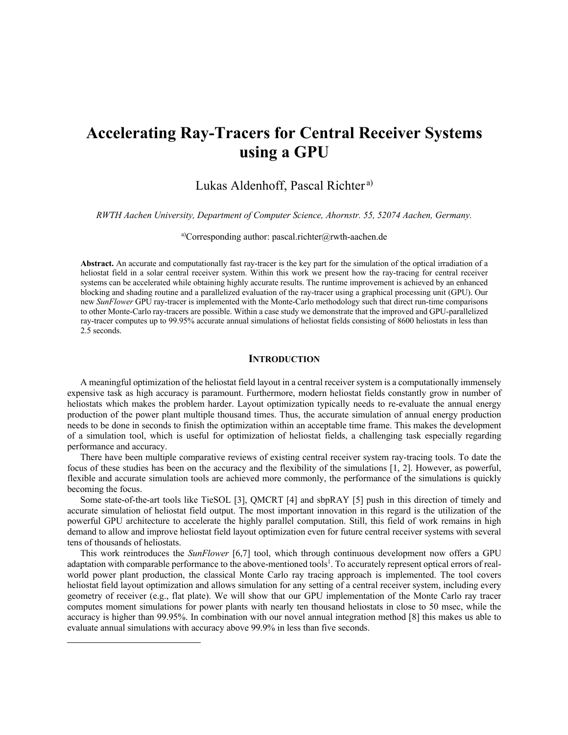# **Accelerating Ray-Tracers for Central Receiver Systems using a GPU**

Lukas Aldenhoff, Pascal Richter<sup>a)</sup>

*RWTH Aachen University, Department of Computer Science, Ahornstr. 55, 52074 Aachen, Germany.*

a)Corresponding author: pascal.richter@rwth-aachen.de

**Abstract.** An accurate and computationally fast ray-tracer is the key part for the simulation of the optical irradiation of a heliostat field in a solar central receiver system. Within this work we present how the ray-tracing for central receiver systems can be accelerated while obtaining highly accurate results. The runtime improvement is achieved by an enhanced blocking and shading routine and a parallelized evaluation of the ray-tracer using a graphical processing unit (GPU). Our new *SunFlower* GPU ray-tracer is implemented with the Monte-Carlo methodology such that direct run-time comparisons to other Monte-Carlo ray-tracers are possible. Within a case study we demonstrate that the improved and GPU-parallelized ray-tracer computes up to 99.95% accurate annual simulations of heliostat fields consisting of 8600 heliostats in less than 2.5 seconds.

#### **INTRODUCTION**

A meaningful optimization of the heliostat field layout in a central receiver system is a computationally immensely expensive task as high accuracy is paramount. Furthermore, modern heliostat fields constantly grow in number of heliostats which makes the problem harder. Layout optimization typically needs to re-evaluate the annual energy production of the power plant multiple thousand times. Thus, the accurate simulation of annual energy production needs to be done in seconds to finish the optimization within an acceptable time frame. This makes the development of a simulation tool, which is useful for optimization of heliostat fields, a challenging task especially regarding performance and accuracy.

There have been multiple comparative reviews of existing central receiver system ray-tracing tools. To date the focus of these studies has been on the accuracy and the flexibility of the simulations [1, 2]. However, as powerful, flexible and accurate simulation tools are achieved more commonly, the performance of the simulations is quickly becoming the focus.

Some state-of-the-art tools like TieSOL [3], QMCRT [4] and sbpRAY [5] push in this direction of timely and accurate simulation of heliostat field output. The most important innovation in this regard is the utilization of the powerful GPU architecture to accelerate the highly parallel computation. Still, this field of work remains in high demand to allow and improve heliostat field layout optimization even for future central receiver systems with several tens of thousands of heliostats.

This work reintroduces the *SunFlower* [6,7] tool, which through continuous development now offers a GPU adaptation with comparable performance to the above-mentioned tools<sup>1</sup>. To accurately represent optical errors of realworld power plant production, the classical Monte Carlo ray tracing approach is implemented. The tool covers heliostat field layout optimization and allows simulation for any setting of a central receiver system, including every geometry of receiver (e.g., flat plate). We will show that our GPU implementation of the Monte Carlo ray tracer computes moment simulations for power plants with nearly ten thousand heliostats in close to 50 msec, while the accuracy is higher than 99.95%. In combination with our novel annual integration method [8] this makes us able to evaluate annual simulations with accuracy above 99.9% in less than five seconds.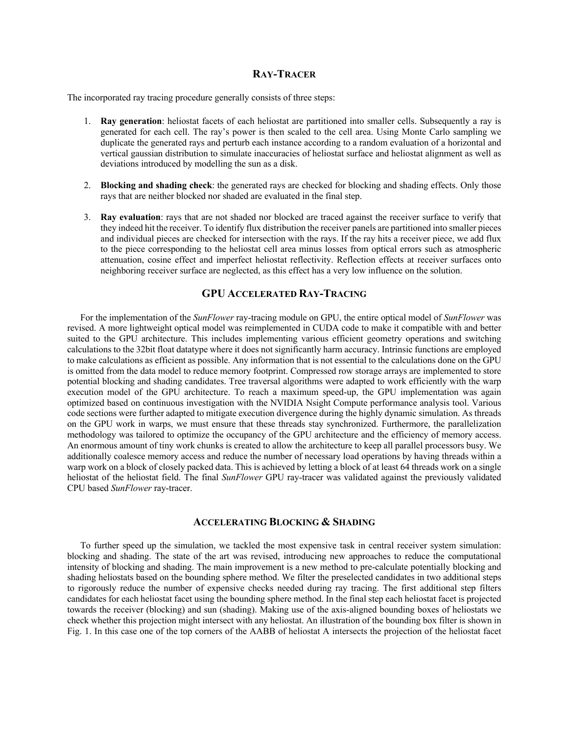#### **RAY-TRACER**

The incorporated ray tracing procedure generally consists of three steps:

- 1. **Ray generation**: heliostat facets of each heliostat are partitioned into smaller cells. Subsequently a ray is generated for each cell. The ray's power is then scaled to the cell area. Using Monte Carlo sampling we duplicate the generated rays and perturb each instance according to a random evaluation of a horizontal and vertical gaussian distribution to simulate inaccuracies of heliostat surface and heliostat alignment as well as deviations introduced by modelling the sun as a disk.
- 2. **Blocking and shading check**: the generated rays are checked for blocking and shading effects. Only those rays that are neither blocked nor shaded are evaluated in the final step.
- 3. **Ray evaluation**: rays that are not shaded nor blocked are traced against the receiver surface to verify that they indeed hit the receiver. To identify flux distribution the receiver panels are partitioned into smaller pieces and individual pieces are checked for intersection with the rays. If the ray hits a receiver piece, we add flux to the piece corresponding to the heliostat cell area minus losses from optical errors such as atmospheric attenuation, cosine effect and imperfect heliostat reflectivity. Reflection effects at receiver surfaces onto neighboring receiver surface are neglected, as this effect has a very low influence on the solution.

### **GPU ACCELERATED RAY-TRACING**

For the implementation of the *SunFlower* ray-tracing module on GPU, the entire optical model of *SunFlower* was revised. A more lightweight optical model was reimplemented in CUDA code to make it compatible with and better suited to the GPU architecture. This includes implementing various efficient geometry operations and switching calculations to the 32bit float datatype where it does not significantly harm accuracy. Intrinsic functions are employed to make calculations as efficient as possible. Any information that is not essential to the calculations done on the GPU is omitted from the data model to reduce memory footprint. Compressed row storage arrays are implemented to store potential blocking and shading candidates. Tree traversal algorithms were adapted to work efficiently with the warp execution model of the GPU architecture. To reach a maximum speed-up, the GPU implementation was again optimized based on continuous investigation with the NVIDIA Nsight Compute performance analysis tool. Various code sections were further adapted to mitigate execution divergence during the highly dynamic simulation. As threads on the GPU work in warps, we must ensure that these threads stay synchronized. Furthermore, the parallelization methodology was tailored to optimize the occupancy of the GPU architecture and the efficiency of memory access. An enormous amount of tiny work chunks is created to allow the architecture to keep all parallel processors busy. We additionally coalesce memory access and reduce the number of necessary load operations by having threads within a warp work on a block of closely packed data. This is achieved by letting a block of at least 64 threads work on a single heliostat of the heliostat field. The final *SunFlower* GPU ray-tracer was validated against the previously validated CPU based *SunFlower* ray-tracer.

#### **ACCELERATING BLOCKING & SHADING**

To further speed up the simulation, we tackled the most expensive task in central receiver system simulation: blocking and shading. The state of the art was revised, introducing new approaches to reduce the computational intensity of blocking and shading. The main improvement is a new method to pre-calculate potentially blocking and shading heliostats based on the bounding sphere method. We filter the preselected candidates in two additional steps to rigorously reduce the number of expensive checks needed during ray tracing. The first additional step filters candidates for each heliostat facet using the bounding sphere method. In the final step each heliostat facet is projected towards the receiver (blocking) and sun (shading). Making use of the axis-aligned bounding boxes of heliostats we check whether this projection might intersect with any heliostat. An illustration of the bounding box filter is shown in Fig. 1. In this case one of the top corners of the AABB of heliostat A intersects the projection of the heliostat facet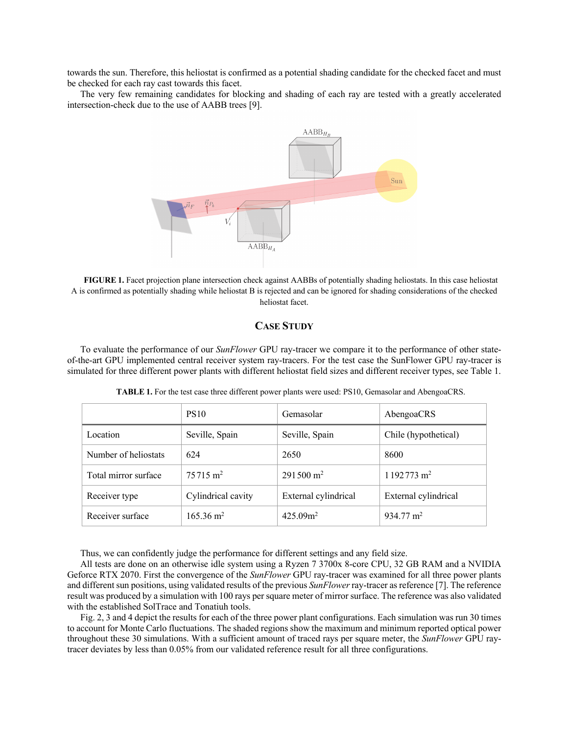towards the sun. Therefore, this heliostat is confirmed as a potential shading candidate for the checked facet and must be checked for each ray cast towards this facet.

The very few remaining candidates for blocking and shading of each ray are tested with a greatly accelerated intersection-check due to the use of AABB trees [9].



**FIGURE 1.** Facet projection plane intersection check against AABBs of potentially shading heliostats. In this case heliostat A is confirmed as potentially shading while heliostat B is rejected and can be ignored for shading considerations of the checked heliostat facet.

# **CASE STUDY**

To evaluate the performance of our *SunFlower* GPU ray-tracer we compare it to the performance of other stateof-the-art GPU implemented central receiver system ray-tracers. For the test case the SunFlower GPU ray-tracer is simulated for three different power plants with different heliostat field sizes and different receiver types, see Table 1.

|                      | <b>PS10</b>          | Gemasolar            | AbengoaCRS            |
|----------------------|----------------------|----------------------|-----------------------|
| Location             | Seville, Spain       | Seville, Spain       | Chile (hypothetical)  |
| Number of heliostats | 624                  | 2650                 | 8600                  |
| Total mirror surface | $75715 \text{ m}^2$  | $291500 \text{ m}^2$ | $1192773 \text{ m}^2$ |
| Receiver type        | Cylindrical cavity   | External cylindrical | External cylindrical  |
| Receiver surface     | $165.36 \text{ m}^2$ | 425.09 <sup>m²</sup> | $934.77 \text{ m}^2$  |

**TABLE 1.** For the test case three different power plants were used: PS10, Gemasolar and AbengoaCRS.

Thus, we can confidently judge the performance for different settings and any field size.

All tests are done on an otherwise idle system using a Ryzen 7 3700x 8-core CPU, 32 GB RAM and a NVIDIA Geforce RTX 2070. First the convergence of the *SunFlower* GPU ray-tracer was examined for all three power plants and different sun positions, using validated results of the previous *SunFlower* ray-tracer as reference [7]. The reference result was produced by a simulation with 100 rays per square meter of mirror surface. The reference was also validated with the established SolTrace and Tonatiuh tools.

Fig. 2, 3 and 4 depict the results for each of the three power plant configurations. Each simulation was run 30 times to account for Monte Carlo fluctuations. The shaded regions show the maximum and minimum reported optical power throughout these 30 simulations. With a sufficient amount of traced rays per square meter, the *SunFlower* GPU raytracer deviates by less than 0.05% from our validated reference result for all three configurations.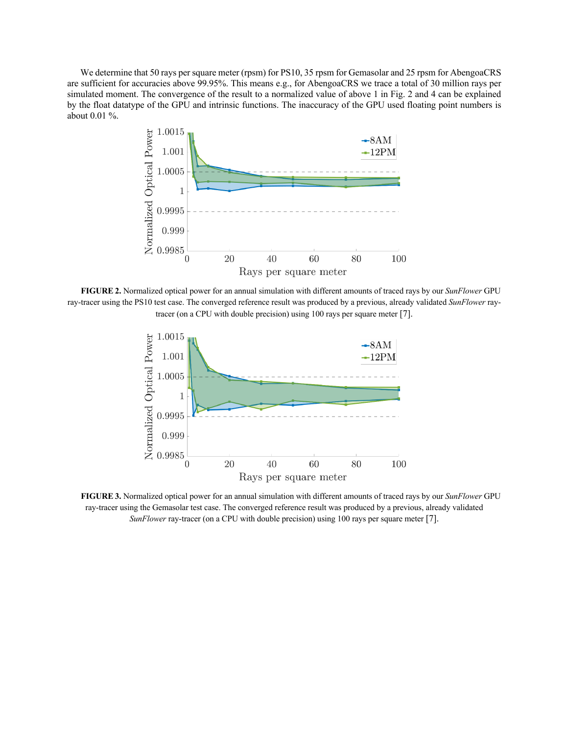We determine that 50 rays per square meter (rpsm) for PS10, 35 rpsm for Gemasolar and 25 rpsm for AbengoaCRS are sufficient for accuracies above 99.95%. This means e.g., for AbengoaCRS we trace a total of 30 million rays per simulated moment. The convergence of the result to a normalized value of above 1 in Fig. 2 and 4 can be explained by the float datatype of the GPU and intrinsic functions. The inaccuracy of the GPU used floating point numbers is about 0.01 %.



**FIGURE 2.** Normalized optical power for an annual simulation with different amounts of traced rays by our *SunFlower* GPU ray-tracer using the PS10 test case. The converged reference result was produced by a previous, already validated *SunFlower* raytracer (on a CPU with double precision) using 100 rays per square meter [7].



**FIGURE 3.** Normalized optical power for an annual simulation with different amounts of traced rays by our *SunFlower* GPU ray-tracer using the Gemasolar test case. The converged reference result was produced by a previous, already validated *SunFlower* ray-tracer (on a CPU with double precision) using 100 rays per square meter [7].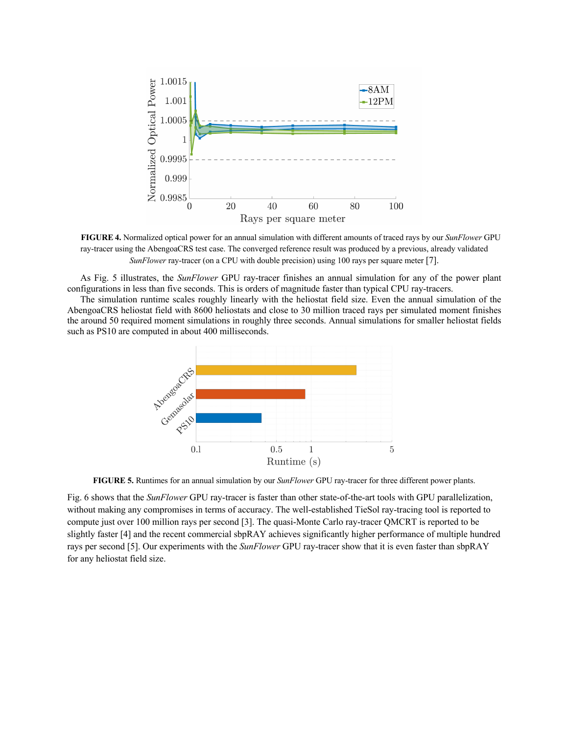

**FIGURE 4.** Normalized optical power for an annual simulation with different amounts of traced rays by our *SunFlower* GPU ray-tracer using the AbengoaCRS test case. The converged reference result was produced by a previous, already validated *SunFlower* ray-tracer (on a CPU with double precision) using 100 rays per square meter [7].

As Fig. 5 illustrates, the *SunFlower* GPU ray-tracer finishes an annual simulation for any of the power plant configurations in less than five seconds. This is orders of magnitude faster than typical CPU ray-tracers.

The simulation runtime scales roughly linearly with the heliostat field size. Even the annual simulation of the AbengoaCRS heliostat field with 8600 heliostats and close to 30 million traced rays per simulated moment finishes the around 50 required moment simulations in roughly three seconds. Annual simulations for smaller heliostat fields such as PS10 are computed in about 400 milliseconds.



**FIGURE 5.** Runtimes for an annual simulation by our *SunFlower* GPU ray-tracer for three different power plants.

Fig. 6 shows that the *SunFlower* GPU ray-tracer is faster than other state-of-the-art tools with GPU parallelization, without making any compromises in terms of accuracy. The well-established TieSol ray-tracing tool is reported to compute just over 100 million rays per second [3]. The quasi-Monte Carlo ray-tracer QMCRT is reported to be slightly faster [4] and the recent commercial sbpRAY achieves significantly higher performance of multiple hundred rays per second [5]. Our experiments with the *SunFlower* GPU ray-tracer show that it is even faster than sbpRAY for any heliostat field size.